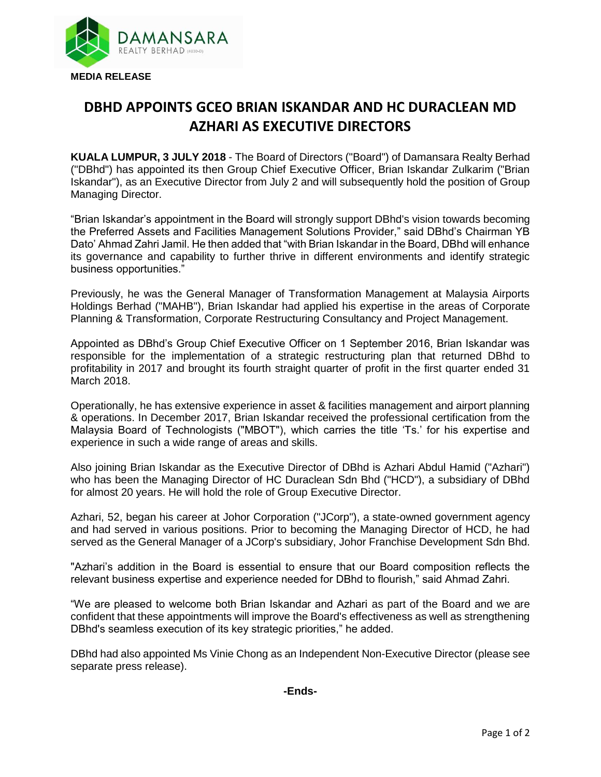

## **DBHD APPOINTS GCEO BRIAN ISKANDAR AND HC DURACLEAN MD AZHARI AS EXECUTIVE DIRECTORS**

**KUALA LUMPUR, 3 JULY 2018** - The Board of Directors ("Board") of Damansara Realty Berhad ("DBhd") has appointed its then Group Chief Executive Officer, Brian Iskandar Zulkarim ("Brian Iskandar"), as an Executive Director from July 2 and will subsequently hold the position of Group Managing Director.

"Brian Iskandar's appointment in the Board will strongly support DBhd's vision towards becoming the Preferred Assets and Facilities Management Solutions Provider," said DBhd's Chairman YB Dato' Ahmad Zahri Jamil. He then added that "with Brian Iskandar in the Board, DBhd will enhance its governance and capability to further thrive in different environments and identify strategic business opportunities."

Previously, he was the General Manager of Transformation Management at Malaysia Airports Holdings Berhad ("MAHB"), Brian Iskandar had applied his expertise in the areas of Corporate Planning & Transformation, Corporate Restructuring Consultancy and Project Management.

Appointed as DBhd's Group Chief Executive Officer on 1 September 2016, Brian Iskandar was responsible for the implementation of a strategic restructuring plan that returned DBhd to profitability in 2017 and brought its fourth straight quarter of profit in the first quarter ended 31 March 2018.

Operationally, he has extensive experience in asset & facilities management and airport planning & operations. In December 2017, Brian Iskandar received the professional certification from the Malaysia Board of Technologists ("MBOT"), which carries the title 'Ts.' for his expertise and experience in such a wide range of areas and skills.

Also joining Brian Iskandar as the Executive Director of DBhd is Azhari Abdul Hamid ("Azhari") who has been the Managing Director of HC Duraclean Sdn Bhd ("HCD"), a subsidiary of DBhd for almost 20 years. He will hold the role of Group Executive Director.

Azhari, 52, began his career at Johor Corporation ("JCorp"), a state-owned government agency and had served in various positions. Prior to becoming the Managing Director of HCD, he had served as the General Manager of a JCorp's subsidiary, Johor Franchise Development Sdn Bhd.

"Azhari's addition in the Board is essential to ensure that our Board composition reflects the relevant business expertise and experience needed for DBhd to flourish," said Ahmad Zahri.

"We are pleased to welcome both Brian Iskandar and Azhari as part of the Board and we are confident that these appointments will improve the Board's effectiveness as well as strengthening DBhd's seamless execution of its key strategic priorities," he added.

DBhd had also appointed Ms Vinie Chong as an Independent Non-Executive Director (please see separate press release).

**-Ends-**